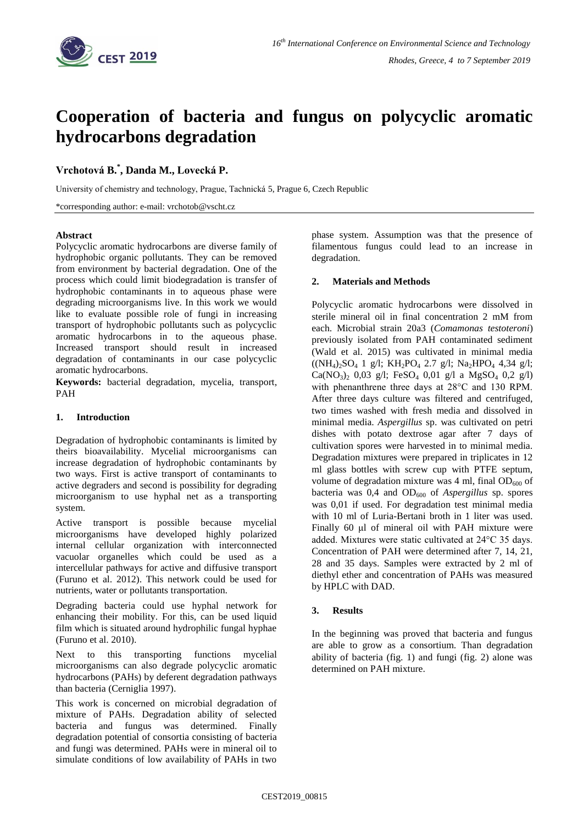

# **Cooperation of bacteria and fungus on polycyclic aromatic hydrocarbons degradation**

## **Vrchotová B. \* , Danda M., Lovecká P.**

University of chemistry and technology, Prague, Tachnická 5, Prague 6, Czech Republic

\*corresponding author: e-mail: vrchotob@vscht.cz

#### **Abstract**

Polycyclic aromatic hydrocarbons are diverse family of hydrophobic organic pollutants. They can be removed from environment by bacterial degradation. One of the process which could limit biodegradation is transfer of hydrophobic contaminants in to aqueous phase were degrading microorganisms live. In this work we would like to evaluate possible role of fungi in increasing transport of hydrophobic pollutants such as polycyclic aromatic hydrocarbons in to the aqueous phase. Increased transport should result in increased degradation of contaminants in our case polycyclic aromatic hydrocarbons.

**Keywords:** bacterial degradation, mycelia, transport, PAH

## **1. Introduction**

Degradation of hydrophobic contaminants is limited by theirs bioavailability. Mycelial microorganisms can increase degradation of hydrophobic contaminants by two ways. First is active transport of contaminants to active degraders and second is possibility for degrading microorganism to use hyphal net as a transporting system.

Active transport is possible because mycelial microorganisms have developed highly polarized internal cellular organization with interconnected vacuolar organelles which could be used as a intercellular pathways for active and diffusive transport (Furuno et al. 2012). This network could be used for nutrients, water or pollutants transportation.

Degrading bacteria could use hyphal network for enhancing their mobility. For this, can be used liquid film which is situated around hydrophilic fungal hyphae (Furuno et al. 2010).

Next to this transporting functions mycelial microorganisms can also degrade polycyclic aromatic hydrocarbons (PAHs) by deferent degradation pathways than bacteria (Cerniglia 1997).

This work is concerned on microbial degradation of mixture of PAHs. Degradation ability of selected bacteria and fungus was determined. Finally degradation potential of consortia consisting of bacteria and fungi was determined. PAHs were in mineral oil to simulate conditions of low availability of PAHs in two

phase system. Assumption was that the presence of filamentous fungus could lead to an increase in degradation.

#### **2. Materials and Methods**

Polycyclic aromatic hydrocarbons were dissolved in sterile mineral oil in final concentration 2 mM from each. Microbial strain 20a3 (*Comamonas testoteroni*) previously isolated from PAH contaminated sediment (Wald et al. 2015) was cultivated in minimal media ((NH4)2SO<sup>4</sup> 1 g/l; KH2PO<sup>4</sup> 2.7 g/l; Na2HPO<sup>4</sup> 4,34 g/l;  $Ca(NO<sub>3</sub>)<sub>2</sub>$  0,03 g/l; FeSO<sub>4</sub> 0,01 g/l a MgSO<sub>4</sub> 0,2 g/l) with phenanthrene three days at 28°C and 130 RPM. After three days culture was filtered and centrifuged, two times washed with fresh media and dissolved in minimal media. *Aspergillus* sp. was cultivated on petri dishes with potato dextrose agar after 7 days of cultivation spores were harvested in to minimal media. Degradation mixtures were prepared in triplicates in 12 ml glass bottles with screw cup with PTFE septum, volume of degradation mixture was 4 ml, final  $OD_{600}$  of bacteria was 0,4 and OD<sub>600</sub> of *Aspergillus* sp. spores was 0,01 if used. For degradation test minimal media with 10 ml of Luria-Bertani broth in 1 liter was used. Finally 60 μl of mineral oil with PAH mixture were added. Mixtures were static cultivated at 24°C 35 days. Concentration of PAH were determined after 7, 14, 21, 28 and 35 days. Samples were extracted by 2 ml of diethyl ether and concentration of PAHs was measured by HPLC with DAD.

## **3. Results**

In the beginning was proved that bacteria and fungus are able to grow as a consortium. Than degradation ability of bacteria (fig. 1) and fungi (fig. 2) alone was determined on PAH mixture.